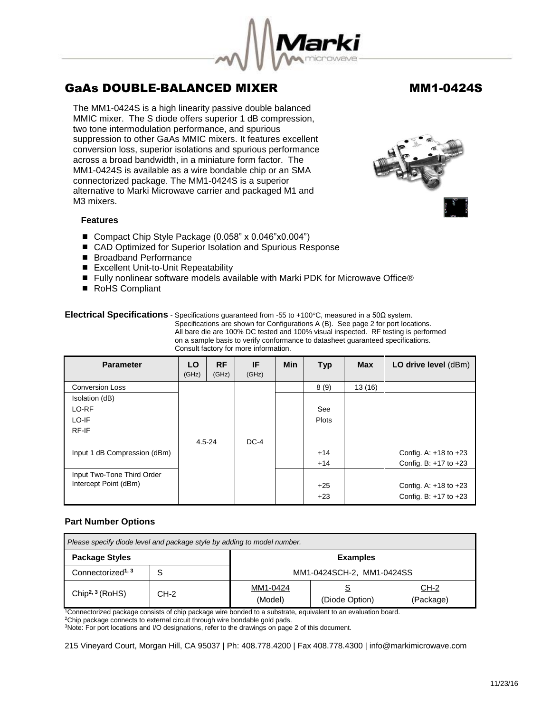

The MM1-0424S is a high linearity passive double balanced MMIC mixer. The S diode offers superior 1 dB compression, two tone intermodulation performance, and spurious suppression to other GaAs MMIC mixers. It features excellent conversion loss, superior isolations and spurious performance across a broad bandwidth, in a miniature form factor. The MM1-0424S is available as a wire bondable chip or an SMA connectorized package. The MM1-0424S is a superior alternative to Marki Microwave carrier and packaged M1 and M3 mixers.



### **Features**

- Compact Chip Style Package (0.058" x 0.046"x0.004")
- CAD Optimized for Superior Isolation and Spurious Response
- Broadband Performance
- Excellent Unit-to-Unit Repeatability
- Fully nonlinear software models available with Marki PDK for Microwave Office®
- RoHS Compliant

### **Electrical Specifications** - Specifications guaranteed from -55 to +100°C, measured in a 50Ω system.

 Specifications are shown for Configurations A (B). See page 2 for port locations. All bare die are 100% DC tested and 100% visual inspected. RF testing is performed on a sample basis to verify conformance to datasheet guaranteed specifications. Consult factory for more information.

| <b>Parameter</b>             | LO<br>(GHz) | <b>RF</b><br>(GHz) | IF<br>(GHz) | <b>Min</b> | <b>Typ</b>   | <b>Max</b> | LO drive level (dBm)      |
|------------------------------|-------------|--------------------|-------------|------------|--------------|------------|---------------------------|
| <b>Conversion Loss</b>       |             |                    |             |            | 8(9)         | 13(16)     |                           |
| Isolation (dB)               |             |                    |             |            |              |            |                           |
| LO-RF                        |             |                    |             |            | See          |            |                           |
| LO-IF                        |             |                    |             |            | <b>Plots</b> |            |                           |
| RF-IF                        |             |                    |             |            |              |            |                           |
|                              |             | $4.5 - 24$         | $DC-4$      |            |              |            |                           |
| Input 1 dB Compression (dBm) |             |                    |             |            | $+14$        |            | Config. A: $+18$ to $+23$ |
|                              |             |                    |             |            | $+14$        |            | Config. B: +17 to +23     |
| Input Two-Tone Third Order   |             |                    |             |            |              |            |                           |
| Intercept Point (dBm)        |             |                    |             |            | $+25$        |            | Config. A: $+18$ to $+23$ |
|                              |             |                    |             |            | $+23$        |            | Config. B: $+17$ to $+23$ |

### **Part Number Options**

| Please specify diode level and package style by adding to model number. |      |                           |                |                     |  |  |
|-------------------------------------------------------------------------|------|---------------------------|----------------|---------------------|--|--|
| <b>Package Styles</b><br><b>Examples</b>                                |      |                           |                |                     |  |  |
| Connectorized <sup>1, 3</sup>                                           |      | MM1-0424SCH-2, MM1-0424SS |                |                     |  |  |
| Chip <sup>2, 3</sup> (RoHS)                                             | CH-2 | MM1-0424<br>(Model)       | (Diode Option) | $CH-2$<br>(Package) |  |  |

<sup>1</sup>Connectorized package consists of chip package wire bonded to a substrate, equivalent to an evaluation board.

<sup>2</sup>Chip package connects to external circuit through wire bondable gold pads.

<sup>3</sup>Note: For port locations and I/O designations, refer to the drawings on page 2 of this document.

215 Vineyard Court, Morgan Hill, CA 95037 | Ph: 408.778.4200 | Fax 408.778.4300 | info@markimicrowave.com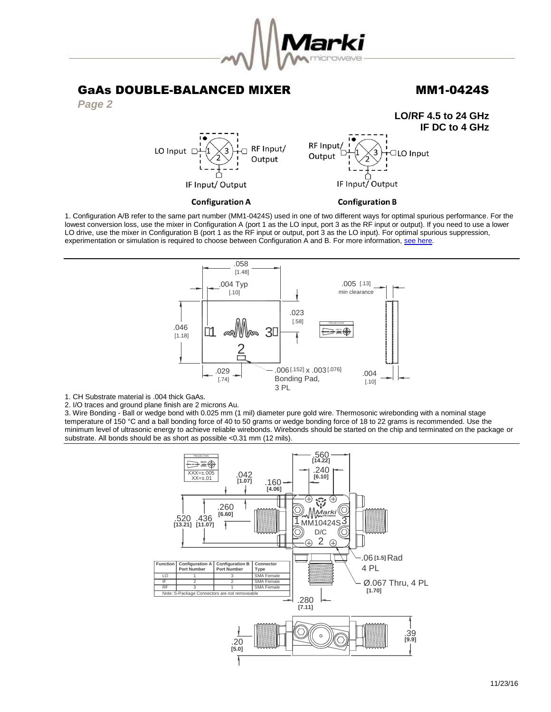

GaAs DOUBLE-BALANCED MIXER MM1-0424S *Page 2* **LO/RF 4.5 to 24 GHz IF DC to 4 GHz** RF Input RF Input/ LO Input  $\Box$ □LO Input Output Output IF Input/Output IF Input/Output **Configuration A Configuration B** 

1. Configuration A/B refer to the same part number (MM1-0424S) used in one of two different ways for optimal spurious performance. For the lowest conversion loss, use the mixer in Configuration A (port 1 as the LO input, port 3 as the RF input or output). If you need to use a lower LO drive, use the mixer in Configuration B (port 1 as the RF input or output, port 3 as the LO input). For optimal spurious suppression, experimentation or simulation is required to choose between Configuration A and B. For more information, [see here.](http://www.markimicrowave.com/rf-microwave-qa/q/what-is-the-difference-between-configuration-a-and-configuration-b-on-mixers)



1. CH Substrate material is .004 thick GaAs.

2. I/O traces and ground plane finish are 2 microns Au.

3. Wire Bonding - Ball or wedge bond with 0.025 mm (1 mil) diameter pure gold wire. Thermosonic wirebonding with a nominal stage temperature of 150 °C and a ball bonding force of 40 to 50 grams or wedge bonding force of 18 to 22 grams is recommended. Use the minimum level of ultrasonic energy to achieve reliable wirebonds. Wirebonds should be started on the chip and terminated on the package or substrate. All bonds should be as short as possible <0.31 mm (12 mils).

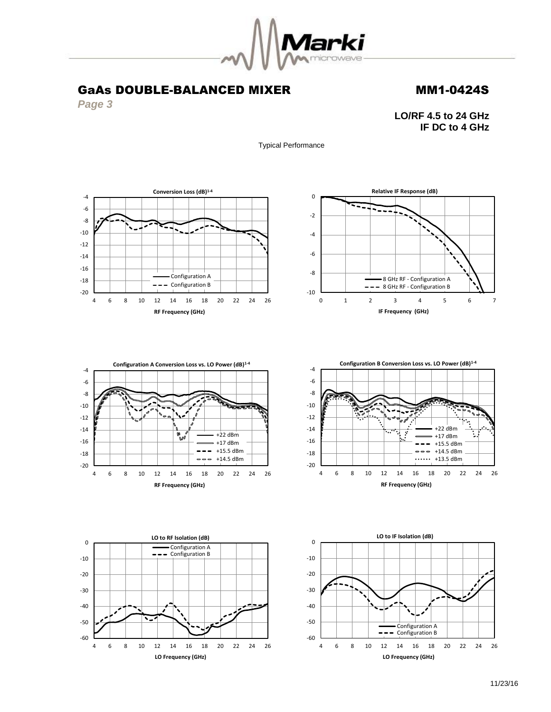

*Page 3*

**LO/RF 4.5 to 24 GHz IF DC to 4 GHz**

Typical Performance











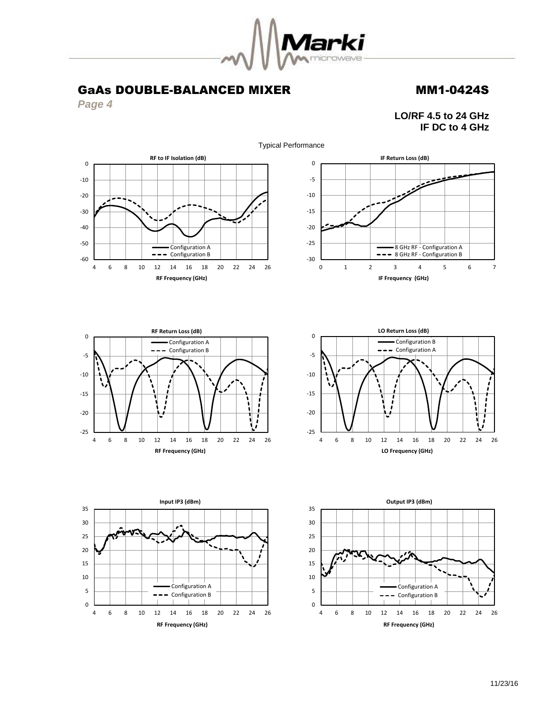

*Page 4*

**LO/RF 4.5 to 24 GHz IF DC to 4 GHz**











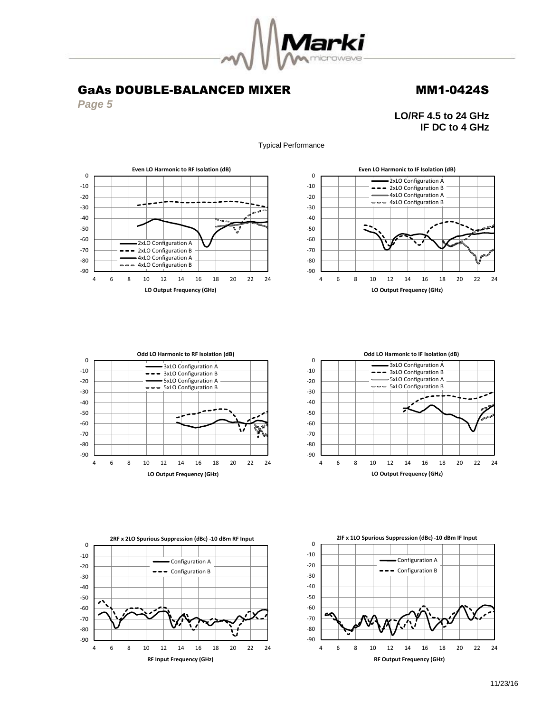

Typical Performance

-90 -80 -70 -60 -50 -40 -30 -20 -10 0

## GaAs DOUBLE-BALANCED MIXER MM1-0424S

*Page 5*

**LO/RF 4.5 to 24 GHz IF DC to 4 GHz**









4 6 8 10 12 14 16 18 20 22 24 **LO Output Frequency (GHz)**

**Odd LO Harmonic to IF Isolation (dB)** 3xLO Configuration A  $\bullet$  - 3xLO Configuration B 5xLO Configuration A  $\Rightarrow$  5xLO Configuration B

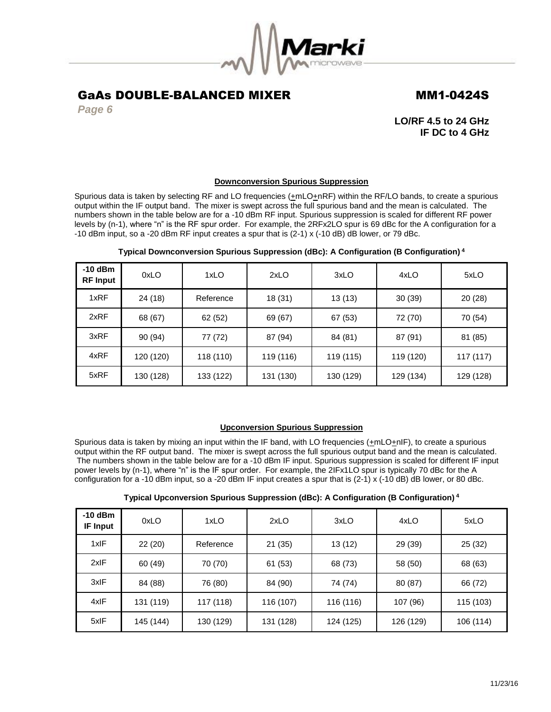

*Page 6*

**LO/RF 4.5 to 24 GHz IF DC to 4 GHz**

### **Downconversion Spurious Suppression**

Spurious data is taken by selecting RF and LO frequencies  $(\pm mLO + nRF)$  within the RF/LO bands, to create a spurious output within the IF output band. The mixer is swept across the full spurious band and the mean is calculated. The numbers shown in the table below are for a -10 dBm RF input. Spurious suppression is scaled for different RF power levels by (n-1), where "n" is the RF spur order. For example, the 2RFx2LO spur is 69 dBc for the A configuration for a -10 dBm input, so a -20 dBm RF input creates a spur that is (2-1) x (-10 dB) dB lower, or 79 dBc.

| $-10$ dBm<br><b>RF Input</b> | 0xLO      | 1xLO      | 2xLO      | 3xLO      | 4xLO      | 5xLO      |
|------------------------------|-----------|-----------|-----------|-----------|-----------|-----------|
| 1xRF                         | 24 (18)   | Reference | 18 (31)   | 13(13)    | 30(39)    | 20(28)    |
| 2xRF                         | 68 (67)   | 62(52)    | 69 (67)   | 67 (53)   | 72 (70)   | 70 (54)   |
| 3xRF                         | 90 (94)   | 77 (72)   | 87 (94)   | 84 (81)   | 87 (91)   | 81 (85)   |
| 4xRF                         | 120 (120) | 118 (110) | 119 (116) | 119 (115) | 119 (120) | 117 (117) |
| 5xRF                         | 130 (128) | 133 (122) | 131 (130) | 130 (129) | 129 (134) | 129 (128) |

### **Typical Downconversion Spurious Suppression (dBc): A Configuration (B Configuration) <sup>4</sup>**

### **Upconversion Spurious Suppression**

Spurious data is taken by mixing an input within the IF band, with LO frequencies (+mLO+nIF), to create a spurious output within the RF output band. The mixer is swept across the full spurious output band and the mean is calculated. The numbers shown in the table below are for a -10 dBm IF input. Spurious suppression is scaled for different IF input power levels by (n-1), where "n" is the IF spur order. For example, the 2IFx1LO spur is typically 70 dBc for the A configuration for a -10 dBm input, so a -20 dBm IF input creates a spur that is (2-1) x (-10 dB) dB lower, or 80 dBc.

|  |  | Typical Upconversion Spurious Suppression (dBc): A Configuration (B Configuration) $^4$ |  |  |
|--|--|-----------------------------------------------------------------------------------------|--|--|
|  |  |                                                                                         |  |  |

| $-10$ dBm<br><b>IF Input</b> | 0xLO      | 1xLO      | 2xLO      | 3xLO      | 4xLO      | 5xLO      |
|------------------------------|-----------|-----------|-----------|-----------|-----------|-----------|
| 1xIF                         | 22(20)    | Reference | 21(35)    | 13(12)    | 29 (39)   | 25 (32)   |
| 2xIF                         | 60 (49)   | 70 (70)   | 61 (53)   | 68 (73)   | 58 (50)   | 68 (63)   |
| 3xIF                         | 84 (88)   | 76 (80)   | 84 (90)   | 74 (74)   | 80 (87)   | 66 (72)   |
| 4xIF                         | 131 (119) | 117 (118) | 116 (107) | 116 (116) | 107 (96)  | 115 (103) |
| 5xIF                         | 145 (144) | 130 (129) | 131 (128) | 124 (125) | 126 (129) | 106 (114) |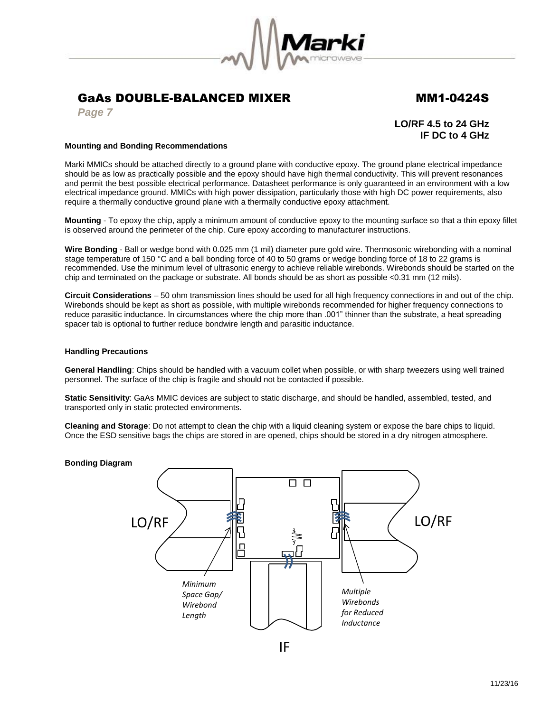

*Page 7*

**LO/RF 4.5 to 24 GHz IF DC to 4 GHz**

### **Mounting and Bonding Recommendations**

Marki MMICs should be attached directly to a ground plane with conductive epoxy. The ground plane electrical impedance should be as low as practically possible and the epoxy should have high thermal conductivity. This will prevent resonances and permit the best possible electrical performance. Datasheet performance is only guaranteed in an environment with a low electrical impedance ground. MMICs with high power dissipation, particularly those with high DC power requirements, also require a thermally conductive ground plane with a thermally conductive epoxy attachment.

**Mounting** - To epoxy the chip, apply a minimum amount of conductive epoxy to the mounting surface so that a thin epoxy fillet is observed around the perimeter of the chip. Cure epoxy according to manufacturer instructions.

**Wire Bonding** - Ball or wedge bond with 0.025 mm (1 mil) diameter pure gold wire. Thermosonic wirebonding with a nominal stage temperature of 150 °C and a ball bonding force of 40 to 50 grams or wedge bonding force of 18 to 22 grams is recommended. Use the minimum level of ultrasonic energy to achieve reliable wirebonds. Wirebonds should be started on the chip and terminated on the package or substrate. All bonds should be as short as possible <0.31 mm (12 mils).

**Circuit Considerations** – 50 ohm transmission lines should be used for all high frequency connections in and out of the chip. Wirebonds should be kept as short as possible, with multiple wirebonds recommended for higher frequency connections to reduce parasitic inductance. In circumstances where the chip more than .001" thinner than the substrate, a heat spreading spacer tab is optional to further reduce bondwire length and parasitic inductance.

### **Handling Precautions**

**General Handling**: Chips should be handled with a vacuum collet when possible, or with sharp tweezers using well trained personnel. The surface of the chip is fragile and should not be contacted if possible.

**Static Sensitivity**: GaAs MMIC devices are subject to static discharge, and should be handled, assembled, tested, and transported only in static protected environments.

**Cleaning and Storage**: Do not attempt to clean the chip with a liquid cleaning system or expose the bare chips to liquid. Once the ESD sensitive bags the chips are stored in are opened, chips should be stored in a dry nitrogen atmosphere.

### **Bonding Diagram**